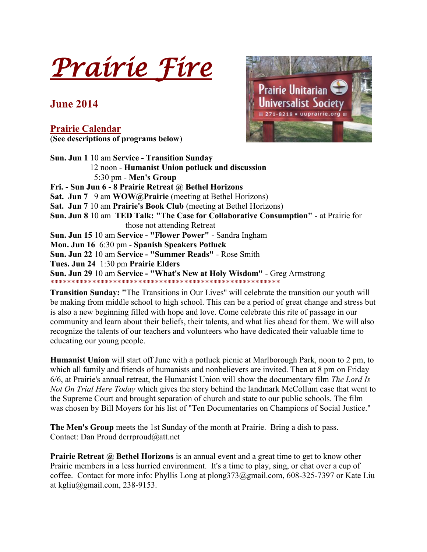*Prairie Fire* 

## **June 2014**

**Prairie Calendar** (**See descriptions of programs below**)



**Sun. Jun 1** 10 am **Service - Transition Sunday** 12 noon - **Humanist Union potluck and discussion** 5:30 pm - **Men's Group Fri. - Sun Jun 6 - 8 Prairie Retreat @ Bethel Horizons Sat. Jun 7** 9 am **WOW@Prairie** (meeting at Bethel Horizons) **Sat. Jun 7** 10 am **Prairie's Book Club** (meeting at Bethel Horizons) **Sun. Jun 8** 10 am **TED Talk: "The Case for Collaborative Consumption"** - at Prairie for those not attending Retreat **Sun. Jun 15** 10 am **Service - "Flower Power"** - Sandra Ingham **Mon. Jun 16** 6:30 pm - **Spanish Speakers Potluck Sun. Jun 22** 10 am **Service - "Summer Reads"** - Rose Smith **Tues. Jun 24** 1:30 pm **Prairie Elders Sun. Jun 29** 10 am **Service - "What's New at Holy Wisdom"** - Greg Armstrong \*\*\*\*\*\*\*\*\*\*\*\*\*\*\*\*\*\*\*\*\*\*\*\*\*\*\*\*\*\*\*\*\*\*\*\*\*\*\*\*\*\*\*\*\*\*\*\*\*\*\*\*\*\*\*

**Transition Sunday: "**The Transitions in Our Lives" will celebrate the transition our youth will be making from middle school to high school. This can be a period of great change and stress but is also a new beginning filled with hope and love. Come celebrate this rite of passage in our community and learn about their beliefs, their talents, and what lies ahead for them. We will also recognize the talents of our teachers and volunteers who have dedicated their valuable time to educating our young people.

**Humanist Union** will start off June with a potluck picnic at Marlborough Park, noon to 2 pm, to which all family and friends of humanists and nonbelievers are invited. Then at 8 pm on Friday 6/6, at Prairie's annual retreat, the Humanist Union will show the documentary film *The Lord Is Not On Trial Here Today* which gives the story behind the landmark McCollum case that went to the Supreme Court and brought separation of church and state to our public schools. The film was chosen by Bill Moyers for his list of "Ten Documentaries on Champions of Social Justice."

**The Men's Group** meets the 1st Sunday of the month at Prairie. Bring a dish to pass. Contact: Dan Proud derrproud@att.net

**Prairie Retreat @ Bethel Horizons** is an annual event and a great time to get to know other Prairie members in a less hurried environment. It's a time to play, sing, or chat over a cup of coffee. Contact for more info: Phyllis Long at plong373@gmail.com, 608-325-7397 or Kate Liu at kgliu@gmail.com, 238-9153.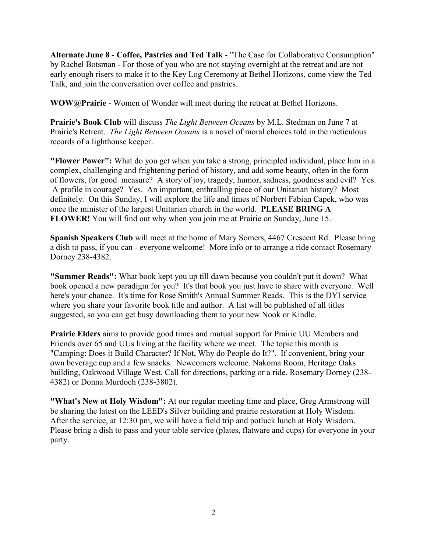**Alternate June 8 - Coffee, Pastries and Ted Talk** - "The Case for Collaborative Consumption" by Rachel Botsman - For those of you who are not staying overnight at the retreat and are not early enough risers to make it to the Key Log Ceremony at Bethel Horizons, come view the Ted Talk, and join the conversation over coffee and pastries.

**WOW@Prairie** - Women of Wonder will meet during the retreat at Bethel Horizons.

**Prairie's Book Club** will discuss *The Light Between Oceans* by M.L. Stedman on June 7 at Prairie's Retreat. *The Light Between Oceans* is a novel of moral choices told in the meticulous records of a lighthouse keeper.

**"Flower Power":** What do you get when you take a strong, principled individual, place him in a complex, challenging and frightening period of history, and add some beauty, often in the form of flowers, for good measure? A story of joy, tragedy, humor, sadness, goodness and evil? Yes. A profile in courage? Yes. An important, enthralling piece of our Unitarian history? Most definitely. On this Sunday, I will explore the life and times of Norbert Fabian Capek, who was once the minister of the largest Unitarian church in the world. **PLEASE BRING A FLOWER!** You will find out why when you join me at Prairie on Sunday, June 15.

**Spanish Speakers Club** will meet at the home of Mary Somers, 4467 Crescent Rd. Please bring a dish to pass, if you can - everyone welcome! More info or to arrange a ride contact Rosemary Dorney 238-4382.

**"Summer Reads":** What book kept you up till dawn because you couldn't put it down? What book opened a new paradigm for you? It's that book you just have to share with everyone. Well here's your chance. It's time for Rose Smith's Annual Summer Reads. This is the DYI service where you share your favorite book title and author. A list will be published of all titles suggested, so you can get busy downloading them to your new Nook or Kindle.

**Prairie Elders** aims to provide good times and mutual support for Prairie UU Members and Friends over 65 and UUs living at the facility where we meet. The topic this month is "Camping: Does it Build Character? If Not, Why do People do It?". If convenient, bring your own beverage cup and a few snacks. Newcomers welcome. Nakoma Room, Heritage Oaks building, Oakwood Village West. Call for directions, parking or a ride. Rosemary Dorney (238- 4382) or Donna Murdoch (238-3802).

**"What's New at Holy Wisdom":** At our regular meeting time and place, Greg Armstrong will be sharing the latest on the LEED's Silver building and prairie restoration at Holy Wisdom. After the service, at 12:30 pm, we will have a field trip and potluck lunch at Holy Wisdom. Please bring a dish to pass and your table service (plates, flatware and cups) for everyone in your party.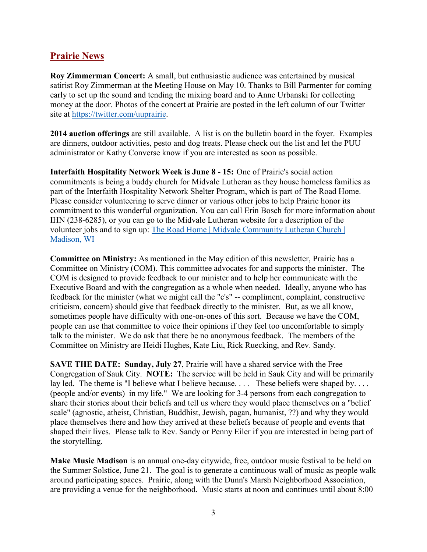### **Prairie News**

**Roy Zimmerman Concert:** A small, but enthusiastic audience was entertained by musical satirist Roy Zimmerman at the Meeting House on May 10. Thanks to Bill Parmenter for coming early to set up the sound and tending the mixing board and to Anne Urbanski for collecting money at the door. Photos of the concert at Prairie are posted in the left column of our Twitter site at [https://twitter.com/uuprairie.](https://twitter.com/uuprairie)

**2014 auction offerings** are still available. A list is on the bulletin board in the foyer. Examples are dinners, outdoor activities, pesto and dog treats. Please check out the list and let the PUU administrator or Kathy Converse know if you are interested as soon as possible.

**Interfaith Hospitality Network Week is June 8 - 15:** One of Prairie's social action commitments is being a buddy church for Midvale Lutheran as they house homeless families as part of the Interfaith Hospitality Network Shelter Program, which is part of The Road Home. Please consider volunteering to serve dinner or various other jobs to help Prairie honor its commitment to this wonderful organization. You can call Erin Bosch for more information about IHN (238-6285), or you can go to the Midvale Lutheran website for a description of the volunteer jobs and to sign up: [The Road Home | Midvale Community Lutheran Church |](http://www.midvalelutheran.org/share/our-community/road-home)  [Madison, WI](http://www.midvalelutheran.org/share/our-community/road-home)

**Committee on Ministry:** As mentioned in the May edition of this newsletter, Prairie has a Committee on Ministry (COM). This committee advocates for and supports the minister. The COM is designed to provide feedback to our minister and to help her communicate with the Executive Board and with the congregation as a whole when needed. Ideally, anyone who has feedback for the minister (what we might call the "c's" -- compliment, complaint, constructive criticism, concern) should give that feedback directly to the minister. But, as we all know, sometimes people have difficulty with one-on-ones of this sort. Because we have the COM, people can use that committee to voice their opinions if they feel too uncomfortable to simply talk to the minister. We do ask that there be no anonymous feedback. The members of the Committee on Ministry are Heidi Hughes, Kate Liu, Rick Ruecking, and Rev. Sandy.

**SAVE THE DATE: Sunday, July 27**, Prairie will have a shared service with the Free Congregation of Sauk City. **NOTE:** The service will be held in Sauk City and will be primarily lay led. The theme is "I believe what I believe because.... These beliefs were shaped by.... (people and/or events) in my life." We are looking for 3-4 persons from each congregation to share their stories about their beliefs and tell us where they would place themselves on a "belief scale" (agnostic, atheist, Christian, Buddhist, Jewish, pagan, humanist, ??) and why they would place themselves there and how they arrived at these beliefs because of people and events that shaped their lives. Please talk to Rev. Sandy or Penny Eiler if you are interested in being part of the storytelling.

**Make Music Madison** is an annual one-day citywide, free, outdoor music festival to be held on the Summer Solstice, June 21. The goal is to generate a continuous wall of music as people walk around participating spaces. Prairie, along with the Dunn's Marsh Neighborhood Association, are providing a venue for the neighborhood. Music starts at noon and continues until about 8:00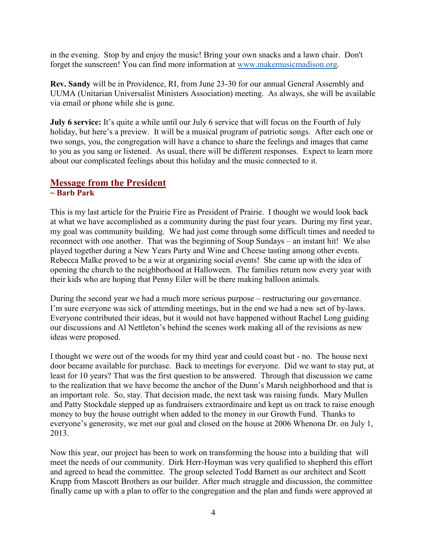in the evening. Stop by and enjoy the music! Bring your own snacks and a lawn chair. Don't forget the sunscreen! You can find more information at [www.makemusicmadison.org.](http://www.makemusicmadison.org/)

**Rev. Sandy** will be in Providence, RI, from June 23-30 for our annual General Assembly and UUMA (Unitarian Universalist Ministers Association) meeting. As always, she will be available via email or phone while she is gone.

**July 6 service:** It's quite a while until our July 6 service that will focus on the Fourth of July holiday, but here's a preview. It will be a musical program of patriotic songs. After each one or two songs, you, the congregation will have a chance to share the feelings and images that came to you as you sang or listened. As usual, there will be different responses. Expect to learn more about our complicated feelings about this holiday and the music connected to it.

# **Message from the President**

#### **~ Barb Park**

This is my last article for the Prairie Fire as President of Prairie. I thought we would look back at what we have accomplished as a community during the past four years. During my first year, my goal was community building. We had just come through some difficult times and needed to reconnect with one another. That was the beginning of Soup Sundays – an instant hit! We also played together during a New Years Party and Wine and Cheese tasting among other events. Rebecca Malke proved to be a wiz at organizing social events! She came up with the idea of opening the church to the neighborhood at Halloween. The families return now every year with their kids who are hoping that Penny Eiler will be there making balloon animals.

During the second year we had a much more serious purpose – restructuring our governance. I'm sure everyone was sick of attending meetings, but in the end we had a new set of by-laws. Everyone contributed their ideas, but it would not have happened without Rachel Long guiding our discussions and Al Nettleton's behind the scenes work making all of the revisions as new ideas were proposed.

I thought we were out of the woods for my third year and could coast but - no. The house next door became available for purchase. Back to meetings for everyone. Did we want to stay put, at least for 10 years? That was the first question to be answered. Through that discussion we came to the realization that we have become the anchor of the Dunn's Marsh neighborhood and that is an important role. So, stay. That decision made, the next task was raising funds. Mary Mullen and Patty Stockdale stepped up as fundraisers extraordinaire and kept us on track to raise enough money to buy the house outright when added to the money in our Growth Fund. Thanks to everyone's generosity, we met our goal and closed on the house at 2006 Whenona Dr. on July 1, 2013.

Now this year, our project has been to work on transforming the house into a building that will meet the needs of our community. Dirk Herr-Hoyman was very qualified to shepherd this effort and agreed to head the committee. The group selected Todd Barnett as our architect and Scott Krupp from Mascott Brothers as our builder. After much struggle and discussion, the committee finally came up with a plan to offer to the congregation and the plan and funds were approved at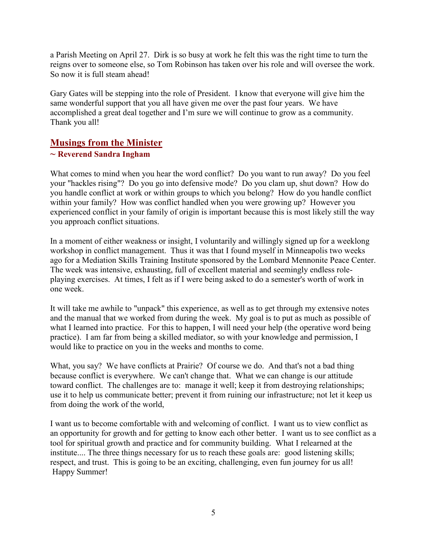a Parish Meeting on April 27. Dirk is so busy at work he felt this was the right time to turn the reigns over to someone else, so Tom Robinson has taken over his role and will oversee the work. So now it is full steam ahead!

Gary Gates will be stepping into the role of President. I know that everyone will give him the same wonderful support that you all have given me over the past four years. We have accomplished a great deal together and I'm sure we will continue to grow as a community. Thank you all!

### **Musings from the Minister**

#### **~ Reverend Sandra Ingham**

What comes to mind when you hear the word conflict? Do you want to run away? Do you feel your "hackles rising"? Do you go into defensive mode? Do you clam up, shut down? How do you handle conflict at work or within groups to which you belong? How do you handle conflict within your family? How was conflict handled when you were growing up? However you experienced conflict in your family of origin is important because this is most likely still the way you approach conflict situations.

In a moment of either weakness or insight, I voluntarily and willingly signed up for a weeklong workshop in conflict management. Thus it was that I found myself in Minneapolis two weeks ago for a Mediation Skills Training Institute sponsored by the Lombard Mennonite Peace Center. The week was intensive, exhausting, full of excellent material and seemingly endless roleplaying exercises. At times, I felt as if I were being asked to do a semester's worth of work in one week.

It will take me awhile to "unpack" this experience, as well as to get through my extensive notes and the manual that we worked from during the week. My goal is to put as much as possible of what I learned into practice. For this to happen, I will need your help (the operative word being practice). I am far from being a skilled mediator, so with your knowledge and permission, I would like to practice on you in the weeks and months to come.

What, you say? We have conflicts at Prairie? Of course we do. And that's not a bad thing because conflict is everywhere. We can't change that. What we can change is our attitude toward conflict. The challenges are to: manage it well; keep it from destroying relationships; use it to help us communicate better; prevent it from ruining our infrastructure; not let it keep us from doing the work of the world,

I want us to become comfortable with and welcoming of conflict. I want us to view conflict as an opportunity for growth and for getting to know each other better. I want us to see conflict as a tool for spiritual growth and practice and for community building. What I relearned at the institute.... The three things necessary for us to reach these goals are: good listening skills; respect, and trust. This is going to be an exciting, challenging, even fun journey for us all! Happy Summer!